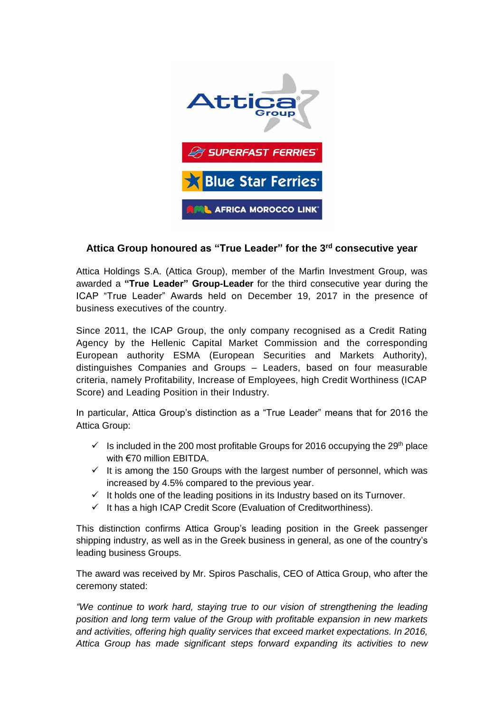

## **Attica Group honoured as "True Leader" for the 3rd consecutive year**

Attica Holdings S.A. (Attica Group), member of the Marfin Investment Group, was awarded a **"True Leader" Group-Leader** for the third consecutive year during the ICAP "True Leader" Awards held on December 19, 2017 in the presence of business executives of the country.

Since 2011, the ICAP Group, the only company recognised as a Credit Rating Agency by the Hellenic Capital Market Commission and the corresponding European authority ESMA (European Securities and Markets Authority), distinguishes Companies and Groups – Leaders, based on four measurable criteria, namely Profitability, Increase of Employees, high Credit Worthiness (ICAP Score) and Leading Position in their Industry.

In particular, Attica Group's distinction as a "True Leader" means that for 2016 the Attica Group:

- $\checkmark$  Is included in the 200 most profitable Groups for 2016 occupying the 29<sup>th</sup> place with €70 million EBITDA.
- $\checkmark$  It is among the 150 Groups with the largest number of personnel, which was increased by 4.5% compared to the previous year.
- $\checkmark$  It holds one of the leading positions in its Industry based on its Turnover.
- $\checkmark$  It has a high ICAP Credit Score (Evaluation of Creditworthiness).

This distinction confirms Attica Group's leading position in the Greek passenger shipping industry, as well as in the Greek business in general, as one of the country's leading business Groups.

The award was received by Mr. Spiros Paschalis, CEO of Attica Group, who after the ceremony stated:

*"We continue to work hard, staying true to our vision of strengthening the leading position and long term value of the Group with profitable expansion in new markets and activities, offering high quality services that exceed market expectations. In 2016, Attica Group has made significant steps forward expanding its activities to new*